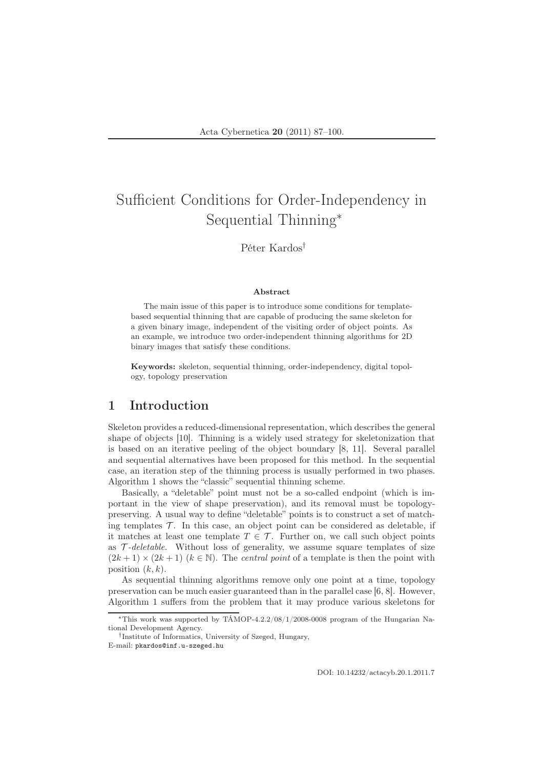# Sufficient Conditions for Order-Independency in Sequential Thinning<sup>∗</sup>

## Péter Kardos†

#### Abstract

The main issue of this paper is to introduce some conditions for templatebased sequential thinning that are capable of producing the same skeleton for a given binary image, independent of the visiting order of object points. As an example, we introduce two order-independent thinning algorithms for 2D binary images that satisfy these conditions.

Keywords: skeleton, sequential thinning, order-independency, digital topology, topology preservation

## 1 Introduction

Skeleton provides a reduced-dimensional representation, which describes the general shape of objects [10]. Thinning is a widely used strategy for skeletonization that is based on an iterative peeling of the object boundary [8, 11]. Several parallel and sequential alternatives have been proposed for this method. In the sequential case, an iteration step of the thinning process is usually performed in two phases. Algorithm 1 shows the "classic" sequential thinning scheme.

Basically, a "deletable" point must not be a so-called endpoint (which is important in the view of shape preservation), and its removal must be topologypreserving. A usual way to define "deletable" points is to construct a set of matching templates  $\mathcal T$ . In this case, an object point can be considered as deletable, if it matches at least one template  $T \in \mathcal{T}$ . Further on, we call such object points as  $\mathcal{T}\text{-}deleteable.$  Without loss of generality, we assume square templates of size  $(2k+1) \times (2k+1)$   $(k \in \mathbb{N})$ . The central point of a template is then the point with position  $(k, k)$ .

As sequential thinning algorithms remove only one point at a time, topology preservation can be much easier guaranteed than in the parallel case [6, 8]. However, Algorithm 1 suffers from the problem that it may produce various skeletons for

<sup>∗</sup>This work was supported by TÁMOP-4.2.2/08/1/2008-0008 program of the Hungarian National Development Agency.

<sup>†</sup> Institute of Informatics, University of Szeged, Hungary, E-mail: pkardos@inf.u-szeged.hu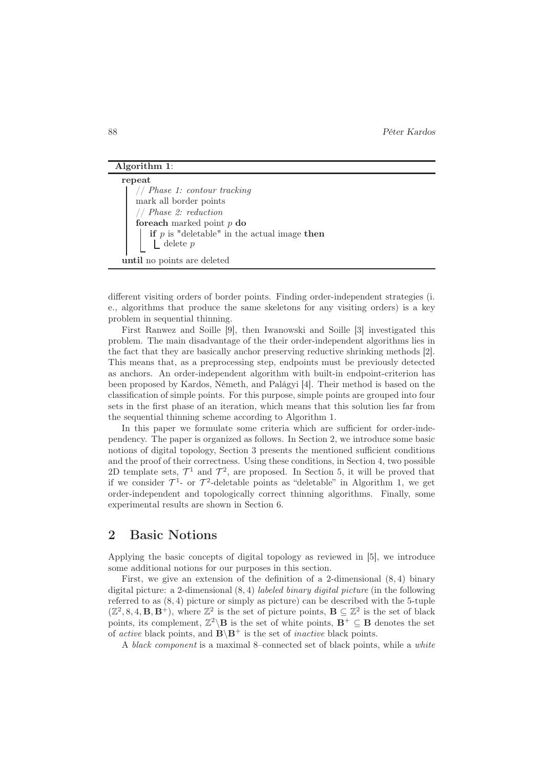#### Algorithm 1:

| repeat                                                                            |
|-----------------------------------------------------------------------------------|
| // Phase 1: contour tracking                                                      |
| mark all border points                                                            |
| // Phase 2: reduction                                                             |
| for each marked point $p$ do                                                      |
| <b>if</b> $p$ is "deletable" in the actual image <b>then</b><br>$\Box$ delete $p$ |
|                                                                                   |
|                                                                                   |
| until no points are deleted                                                       |

different visiting orders of border points. Finding order-independent strategies (i. e., algorithms that produce the same skeletons for any visiting orders) is a key problem in sequential thinning.

First Ranwez and Soille [9], then Iwanowski and Soille [3] investigated this problem. The main disadvantage of the their order-independent algorithms lies in the fact that they are basically anchor preserving reductive shrinking methods [2]. This means that, as a preprocessing step, endpoints must be previously detected as anchors. An order-independent algorithm with built-in endpoint-criterion has been proposed by Kardos, Németh, and Palágyi [4]. Their method is based on the classification of simple points. For this purpose, simple points are grouped into four sets in the first phase of an iteration, which means that this solution lies far from the sequential thinning scheme according to Algorithm 1.

In this paper we formulate some criteria which are sufficient for order-independency. The paper is organized as follows. In Section 2, we introduce some basic notions of digital topology, Section 3 presents the mentioned sufficient conditions and the proof of their correctness. Using these conditions, in Section 4, two possible 2D template sets,  $\mathcal{T}^1$  and  $\mathcal{T}^2$ , are proposed. In Section 5, it will be proved that if we consider  $\mathcal{T}^1$ - or  $\mathcal{T}^2$ -deletable points as "deletable" in Algorithm 1, we get order-independent and topologically correct thinning algorithms. Finally, some experimental results are shown in Section 6.

## 2 Basic Notions

Applying the basic concepts of digital topology as reviewed in [5], we introduce some additional notions for our purposes in this section.

First, we give an extension of the definition of a 2-dimensional (8, 4) binary digital picture: a 2-dimensional  $(8, 4)$  *labeled binary digital picture* (in the following referred to as  $(8, 4)$  picture or simply as picture) can be described with the 5-tuple  $(\mathbb{Z}^2, 8, 4, \mathbf{B}, \mathbf{B}^+)$ , where  $\mathbb{Z}^2$  is the set of picture points,  $\mathbf{B} \subseteq \mathbb{Z}^2$  is the set of black points, its complement,  $\mathbb{Z}^2 \backslash \mathbf{B}$  is the set of white points,  $\mathbf{B}^+ \subseteq \mathbf{B}$  denotes the set of *active* black points, and  $\mathbf{B} \backslash \mathbf{B}^+$  is the set of *inactive* black points.

A black component is a maximal 8–connected set of black points, while a white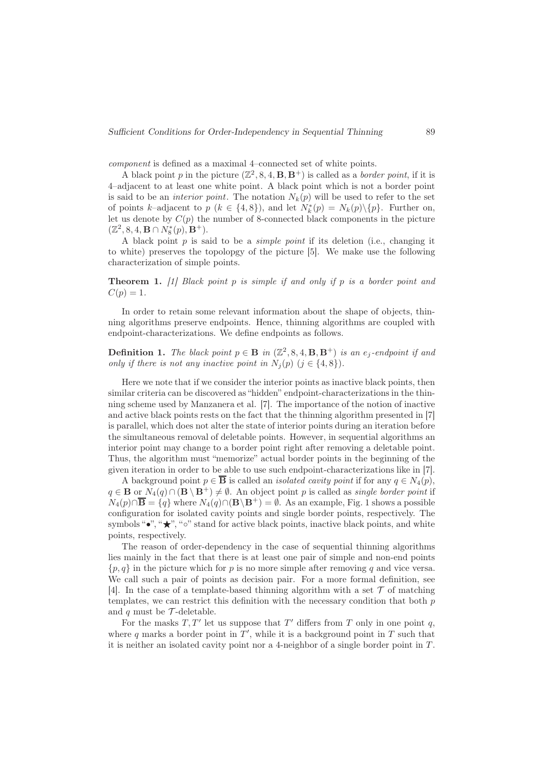component is defined as a maximal 4–connected set of white points.

A black point p in the picture  $(\mathbb{Z}^2, 8, 4, B, B^+)$  is called as a *border point*, if it is 4–adjacent to at least one white point. A black point which is not a border point is said to be an *interior point*. The notation  $N_k(p)$  will be used to refer to the set of points k–adjacent to p ( $k \in \{4, 8\}$ ), and let  $N_k^*(p) = N_k(p) \setminus \{p\}$ . Further on, let us denote by  $C(p)$  the number of 8-connected black components in the picture  $(\mathbb{Z}^2, 8, 4, \mathbf{B} \cap N_8^*(p), \mathbf{B}^+).$ 

A black point  $p$  is said to be a *simple point* if its deletion (i.e., changing it to white) preserves the topolopgy of the picture [5]. We make use the following characterization of simple points.

**Theorem 1.** [1] Black point p is simple if and only if p is a border point and  $C(p) = 1.$ 

In order to retain some relevant information about the shape of objects, thinning algorithms preserve endpoints. Hence, thinning algorithms are coupled with endpoint-characterizations. We define endpoints as follows.

**Definition 1.** The black point  $p \in \mathbf{B}$  in  $(\mathbb{Z}^2, 8, 4, \mathbf{B}, \mathbf{B}^+)$  is an  $e_j$ -endpoint if and only if there is not any inactive point in  $N_j(p)$   $(j \in \{4, 8\})$ .

Here we note that if we consider the interior points as inactive black points, then similar criteria can be discovered as "hidden" endpoint-characterizations in the thinning scheme used by Manzanera et al. [7]. The importance of the notion of inactive and active black points rests on the fact that the thinning algorithm presented in [7] is parallel, which does not alter the state of interior points during an iteration before the simultaneous removal of deletable points. However, in sequential algorithms an interior point may change to a border point right after removing a deletable point. Thus, the algorithm must "memorize" actual border points in the beginning of the given iteration in order to be able to use such endpoint-characterizations like in [7].

A background point  $p \in \overline{B}$  is called an *isolated cavity point* if for any  $q \in N_4(p)$ ,  $q \in \mathbf{B}$  or  $N_4(q) \cap (\mathbf{B} \setminus \mathbf{B}^+) \neq \emptyset$ . An object point p is called as *single border point* if  $N_4(p) \cap \overline{\mathbf{B}} = \{q\}$  where  $N_4(q) \cap (\mathbf{B} \backslash \mathbf{B}^+) = \emptyset$ . As an example, Fig. 1 shows a possible configuration for isolated cavity points and single border points, respectively. The symbols "•", " $\star$ ", " $\circ$ " stand for active black points, inactive black points, and white points, respectively.

The reason of order-dependency in the case of sequential thinning algorithms lies mainly in the fact that there is at least one pair of simple and non-end points  $\{p, q\}$  in the picture which for p is no more simple after removing q and vice versa. We call such a pair of points as decision pair. For a more formal definition, see [4]. In the case of a template-based thinning algorithm with a set  $\mathcal T$  of matching templates, we can restrict this definition with the necessary condition that both  $p$ and q must be  $\mathcal{T}$ -deletable.

For the masks  $T, T'$  let us suppose that  $T'$  differs from  $T$  only in one point  $q$ , where q marks a border point in  $T'$ , while it is a background point in T such that it is neither an isolated cavity point nor a 4-neighbor of a single border point in  $T$ .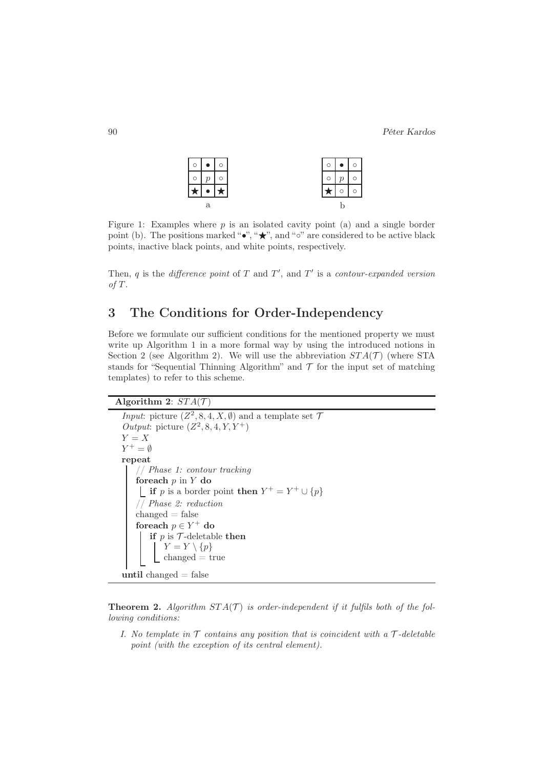90 Péter Kardos

|   | $\circ$ |  |  |  |  |  |  |  |  |  |  |
|---|---------|--|--|--|--|--|--|--|--|--|--|
|   |         |  |  |  |  |  |  |  |  |  |  |
|   |         |  |  |  |  |  |  |  |  |  |  |
| a |         |  |  |  |  |  |  |  |  |  |  |

Figure 1: Examples where  $p$  is an isolated cavity point (a) and a single border point (b). The positions marked "•", " $\star$ ", and "∘" are considered to be active black points, inactive black points, and white points, respectively.

Then, q is the difference point of  $T$  and  $T'$ , and  $T'$  is a contour-expanded version  $of T.$ 

# 3 The Conditions for Order-Independency

Before we formulate our sufficient conditions for the mentioned property we must write up Algorithm 1 in a more formal way by using the introduced notions in Section 2 (see Algorithm 2). We will use the abbreviation  $STA(\mathcal{T})$  (where STA stands for "Sequential Thinning Algorithm" and  $\mathcal T$  for the input set of matching templates) to refer to this scheme.

```
Algorithm 2: STA(\mathcal{T})
```

```
Input: picture (Z^2, 8, 4, X, \emptyset) and a template set 7
Output: picture (Z^2, 8, 4, Y, Y^+)Y = XY^+ = \emptysetrepeat
    // Phase 1: contour tracking
   foreach p in Y do
        if p is a border point then Y^+ = Y^+ \cup \{p\}// Phase 2: reduction
   changed = falseforeach p \in Y^+ do
       if p is \mathcal T-deletable then
           Y = Y \setminus \{p\}changed = trueuntil changed = false
```
**Theorem 2.** Algorithm  $STA(\mathcal{T})$  is order-independent if it fulfils both of the following conditions:

I. No template in  $\mathcal T$  contains any position that is coincident with a  $\mathcal T$ -deletable point (with the exception of its central element).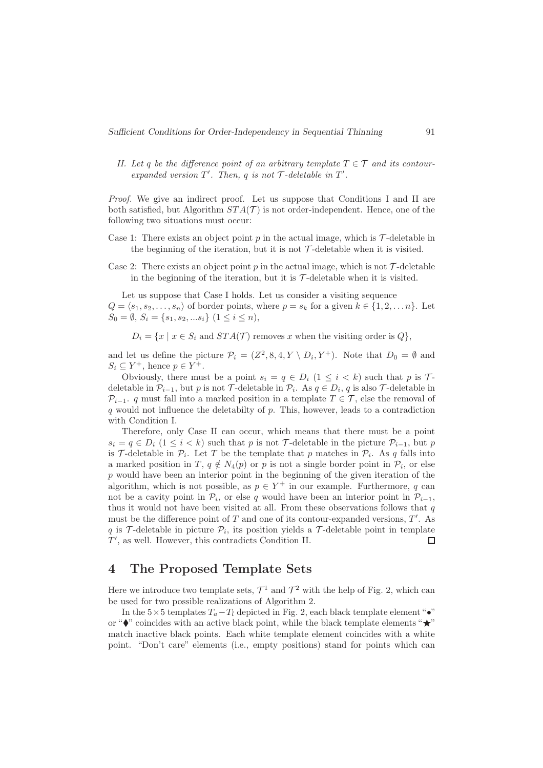II. Let q be the difference point of an arbitrary template  $T \in \mathcal{T}$  and its contourexpanded version  $T'$ . Then,  $q$  is not  $\mathcal T$ -deletable in  $T'$ .

Proof. We give an indirect proof. Let us suppose that Conditions I and II are both satisfied, but Algorithm  $STA(\mathcal{T})$  is not order-independent. Hence, one of the following two situations must occur:

- Case 1: There exists an object point  $p$  in the actual image, which is  $\mathcal{T}$ -deletable in the beginning of the iteration, but it is not  $\mathcal{T}\text{-deletable}$  when it is visited.
- Case 2: There exists an object point p in the actual image, which is not  $\mathcal{T}\text{-deletable}$ in the beginning of the iteration, but it is  $\mathcal{T}$ -deletable when it is visited.

Let us suppose that Case I holds. Let us consider a visiting sequence  $Q = \langle s_1, s_2, \ldots, s_n \rangle$  of border points, where  $p = s_k$  for a given  $k \in \{1, 2, \ldots n\}$ . Let  $S_0 = \emptyset, S_i = \{s_1, s_2, ... s_i\} \ (1 \leq i \leq n),$ 

 $D_i = \{x \mid x \in S_i \text{ and } STA(\mathcal{T}) \text{ removes } x \text{ when the visiting order is } Q\},\$ 

and let us define the picture  $\mathcal{P}_i = (Z^2, 8, 4, Y \setminus D_i, Y^+)$ . Note that  $D_0 = \emptyset$  and  $S_i \subseteq Y^+$ , hence  $p \in Y^+$ .

Obviously, there must be a point  $s_i = q \in D_i$   $(1 \leq i \leq k)$  such that p is Tdeletable in  $\mathcal{P}_{i-1}$ , but p is not T-deletable in  $\mathcal{P}_i$ . As  $q \in D_i$ , q is also T-deletable in  $\mathcal{P}_{i-1}$ . q must fall into a marked position in a template  $T \in \mathcal{T}$ , else the removal of q would not influence the deletabilty of p. This, however, leads to a contradiction with Condition I.

Therefore, only Case II can occur, which means that there must be a point  $s_i = q \in D_i$  (1 ≤ i ≤ k) such that p is not T-deletable in the picture  $\mathcal{P}_{i-1}$ , but p is T-deletable in  $\mathcal{P}_i$ . Let T be the template that p matches in  $\mathcal{P}_i$ . As q falls into a marked position in T,  $q \notin N_4(p)$  or p is not a single border point in  $\mathcal{P}_i$ , or else  $p$  would have been an interior point in the beginning of the given iteration of the algorithm, which is not possible, as  $p \in Y^+$  in our example. Furthermore, q can not be a cavity point in  $\mathcal{P}_i$ , or else q would have been an interior point in  $\mathcal{P}_{i-1}$ , thus it would not have been visited at all. From these observations follows that  $q$ must be the difference point of  $T$  and one of its contour-expanded versions,  $T'$ . As q is  $\mathcal{T}$ -deletable in picture  $\mathcal{P}_i$ , its position yields a  $\mathcal{T}$ -deletable point in template T ′ , as well. However, this contradicts Condition II.  $\Box$ 

### 4 The Proposed Template Sets

Here we introduce two template sets,  $\mathcal{T}^1$  and  $\mathcal{T}^2$  with the help of Fig. 2, which can be used for two possible realizations of Algorithm 2.

In the  $5\times 5$  templates  $T_a-T_l$  depicted in Fig. 2, each black template element "•" or " $\bullet$ " coincides with an active black point, while the black template elements " $\star$ " match inactive black points. Each white template element coincides with a white point. "Don't care" elements (i.e., empty positions) stand for points which can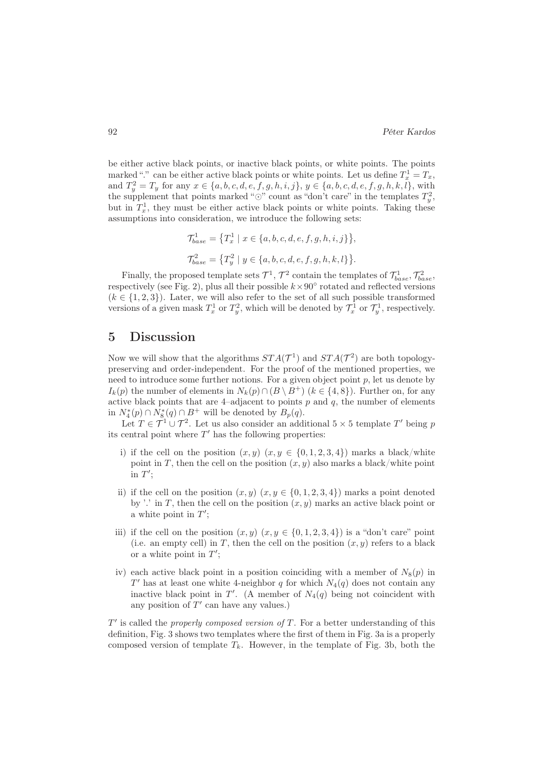be either active black points, or inactive black points, or white points. The points marked "." can be either active black points or white points. Let us define  $T_x^1 = T_x$ , and  $T_y^2 = T_y$  for any  $x \in \{a, b, c, d, e, f, g, h, i, j\}, y \in \{a, b, c, d, e, f, g, h, k, l\},\$ with the supplement that points marked " $\odot$ " count as "don't care" in the templates  $T_y^2$ , but in  $T_x^1$ , they must be either active black points or white points. Taking these assumptions into consideration, we introduce the following sets:

$$
\mathcal{T}_{base}^{1} = \{ T_x^1 \mid x \in \{a, b, c, d, e, f, g, h, i, j\} \},\
$$

$$
\mathcal{T}_{base}^{2} = \{ T_y^2 \mid y \in \{a, b, c, d, e, f, g, h, k, l\} \}.
$$

Finally, the proposed template sets  $\mathcal{T}^1$ ,  $\mathcal{T}^2$  contain the templates of  $\mathcal{T}^1_{base}$ ,  $\mathcal{T}^2_{base}$ , respectively (see Fig. 2), plus all their possible  $k \times 90°$  rotated and reflected versions  $(k \in \{1, 2, 3\})$ . Later, we will also refer to the set of all such possible transformed versions of a given mask  $T_x^1$  or  $T_y^2$ , which will be denoted by  $\mathcal{T}_x^1$  or  $\mathcal{T}_y^1$ , respectively.

#### 5 Discussion

Now we will show that the algorithms  $STA(\mathcal{T}^1)$  and  $STA(\mathcal{T}^2)$  are both topologypreserving and order-independent. For the proof of the mentioned properties, we need to introduce some further notions. For a given object point  $p$ , let us denote by  $I_k(p)$  the number of elements in  $N_k(p) \cap (B \setminus B^+)$  ( $k \in \{4, 8\}$ ). Further on, for any active black points that are 4-adjacent to points  $p$  and  $q$ , the number of elements in  $N_4^*(p) \cap N_8^*(q) \cap B^+$  will be denoted by  $B_p(q)$ .

Let  $T \in \mathcal{T}^1 \cup \mathcal{T}^2$ . Let us also consider an additional  $5 \times 5$  template T' being p its central point where  $T'$  has the following properties:

- i) if the cell on the position  $(x, y)$   $(x, y \in \{0, 1, 2, 3, 4\})$  marks a black/white point in T, then the cell on the position  $(x, y)$  also marks a black/white point  $\overline{\text{in }T'}$ ;
- ii) if the cell on the position  $(x, y)$   $(x, y \in \{0, 1, 2, 3, 4\})$  marks a point denoted by '.' in T, then the cell on the position  $(x, y)$  marks an active black point or a white point in  $T'$ ;
- iii) if the cell on the position  $(x, y)$   $(x, y \in \{0, 1, 2, 3, 4\})$  is a "don't care" point (i.e. an empty cell) in T, then the cell on the position  $(x, y)$  refers to a black or a white point in  $T'$ ;
- iv) each active black point in a position coinciding with a member of  $N_8(p)$  in  $T'$  has at least one white 4-neighbor q for which  $N_4(q)$  does not contain any inactive black point in T'. (A member of  $N_4(q)$  being not coincident with any position of  $T'$  can have any values.)

 $T'$  is called the *properly composed version of*  $T$ . For a better understanding of this definition, Fig. 3 shows two templates where the first of them in Fig. 3a is a properly composed version of template  $T_k$ . However, in the template of Fig. 3b, both the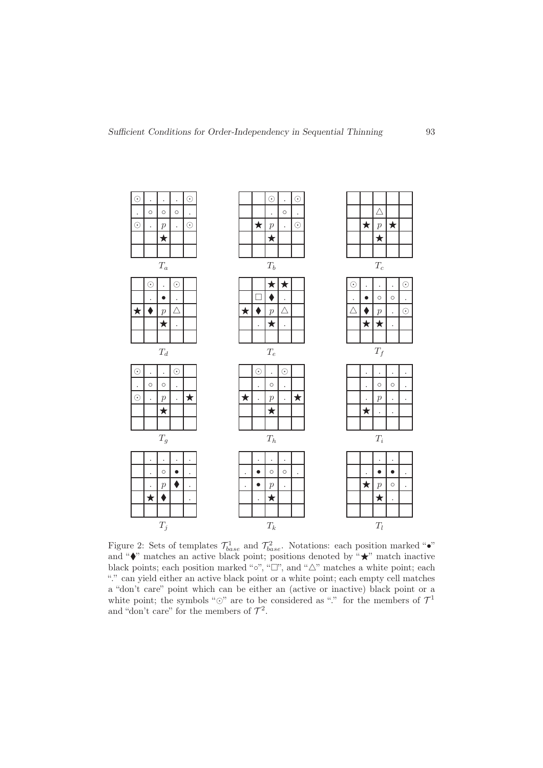

Figure 2: Sets of templates  $\mathcal{T}^1_{base}$  and  $\mathcal{T}^2_{base}$ . Notations: each position marked " $\bullet$ " and " $\bullet$ " matches an active black point; positions denoted by " $\star$ " match inactive black points; each position marked "∘", " $\Box$ ", and " $\triangle$ " matches a white point; each "." can yield either an active black point or a white point; each empty cell matches a "don't care" point which can be either an (active or inactive) black point or a white point; the symbols " $\odot$ " are to be considered as "." for the members of  $\mathcal{T}^1$ and "don't care" for the members of  $\mathcal{T}^2$ .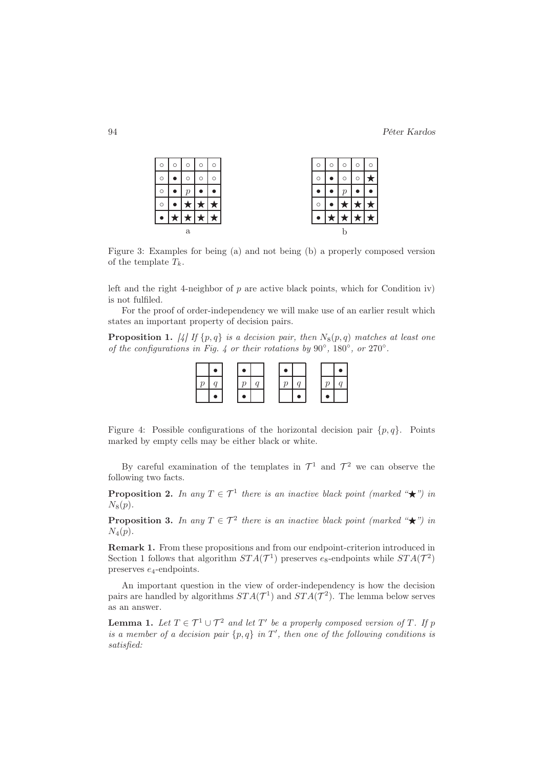|   | $\circ$ | $\circ$ | $\circ$ | $\circ$ | Ω       | O | $\circ$       | $\circ$ | O |
|---|---------|---------|---------|---------|---------|---|---------------|---------|---|
|   |         | O       | $\circ$ | $\circ$ | $\circ$ |   | $\circ$       | ◠       |   |
|   |         | р       |         |         |         |   | $\mathcal{p}$ |         |   |
|   |         |         |         |         | O       |   |               |         |   |
|   |         |         |         |         |         |   |               |         |   |
| a |         |         |         |         |         |   |               |         |   |

Figure 3: Examples for being (a) and not being (b) a properly composed version of the template  $T_k$ .

left and the right 4-neighbor of  $p$  are active black points, which for Condition iv) is not fulfiled.

For the proof of order-independency we will make use of an earlier result which states an important property of decision pairs.

**Proposition 1.** [4] If  $\{p, q\}$  is a decision pair, then  $N_8(p, q)$  matches at least one of the configurations in Fig. 4 or their rotations by  $90^\circ$ ,  $180^\circ$ , or  $270^\circ$ .

Figure 4: Possible configurations of the horizontal decision pair  $\{p, q\}$ . Points marked by empty cells may be either black or white.

By careful examination of the templates in  $\mathcal{T}^1$  and  $\mathcal{T}^2$  we can observe the following two facts.

**Proposition 2.** In any  $T \in \mathcal{T}^1$  there is an inactive black point (marked " $\star$ ") in  $N_8(p)$ .

**Proposition 3.** In any  $T \in \mathcal{T}^2$  there is an inactive black point (marked " $\star$ ") in  $N_4(p)$ .

Remark 1. From these propositions and from our endpoint-criterion introduced in Section 1 follows that algorithm  $STA(\mathcal{T}^1)$  preserves  $e_8$ -endpoints while  $STA(\mathcal{T}^2)$ preserves e4-endpoints.

An important question in the view of order-independency is how the decision pairs are handled by algorithms  $STA(\mathcal{T}^1)$  and  $STA(\mathcal{T}^2)$ . The lemma below serves as an answer.

**Lemma 1.** Let  $T \in \mathcal{T}^1 \cup \mathcal{T}^2$  and let  $T'$  be a properly composed version of T. If p is a member of a decision pair  $\{p,q\}$  in  $T'$ , then one of the following conditions is satisfied: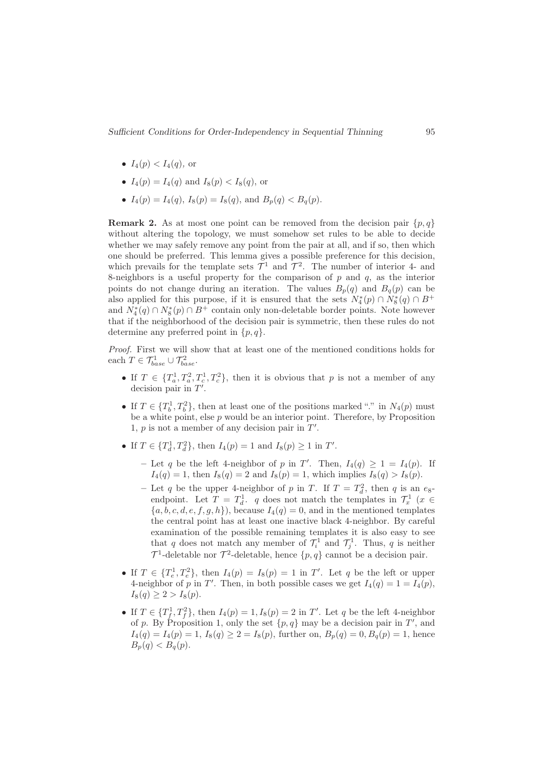- $I_4(p) < I_4(q)$ , or
- $I_4(p) = I_4(q)$  and  $I_8(p) < I_8(q)$ , or
- $I_4(p) = I_4(q)$ ,  $I_8(p) = I_8(q)$ , and  $B_p(q) < B_q(p)$ .

**Remark 2.** As at most one point can be removed from the decision pair  $\{p,q\}$ without altering the topology, we must somehow set rules to be able to decide whether we may safely remove any point from the pair at all, and if so, then which one should be preferred. This lemma gives a possible preference for this decision, which prevails for the template sets  $\mathcal{T}^1$  and  $\mathcal{T}^2$ . The number of interior 4- and 8-neighbors is a useful property for the comparison of  $p$  and  $q$ , as the interior points do not change during an iteration. The values  $B_p(q)$  and  $B_q(p)$  can be also applied for this purpose, if it is ensured that the sets  $N_4^*(p) \cap N_8^*(q) \cap B^+$ and  $N_4^*(q) \cap N_8^*(p) \cap B^+$  contain only non-deletable border points. Note however that if the neighborhood of the decision pair is symmetric, then these rules do not determine any preferred point in  $\{p,q\}.$ 

Proof. First we will show that at least one of the mentioned conditions holds for each  $T \in \mathcal{T}_{base}^1 \cup \mathcal{T}_{base}^2$ .

- If  $T \in \{T_a^1, T_a^2, T_c^1, T_c^2\}$ , then it is obvious that p is not a member of any decision pair in  $T'$ .
- If  $T \in \{T_b^1, T_b^2\}$ , then at least one of the positions marked "." in  $N_4(p)$  must be a white point, else  $p$  would be an interior point. Therefore, by Proposition 1,  $p$  is not a member of any decision pair in  $T'$ .
- If  $T \in \{T_d^1, T_d^2\}$ , then  $I_4(p) = 1$  and  $I_8(p) \ge 1$  in  $T'$ .
	- Let q be the left 4-neighbor of p in T'. Then,  $I_4(q) \geq 1 = I_4(p)$ . If  $I_4(q) = 1$ , then  $I_8(q) = 2$  and  $I_8(p) = 1$ , which implies  $I_8(q) > I_8(p)$ .
	- Let q be the upper 4-neighbor of p in T. If  $T = T_d^2$ , then q is an  $e_8$ endpoint. Let  $T = T_d^1$ . q does not match the templates in  $\mathcal{T}_x^1$  ( $x \in$  ${a, b, c, d, e, f, g, h}$ , because  $I_4(q) = 0$ , and in the mentioned templates the central point has at least one inactive black 4-neighbor. By careful examination of the possible remaining templates it is also easy to see that q does not match any member of  $\mathcal{T}_i^1$  and  $\mathcal{T}_j^1$ . Thus, q is neither  $\mathcal{T}^1$ -deletable nor  $\mathcal{T}^2$ -deletable, hence  $\{p, q\}$  cannot be a decision pair.
- If  $T \in \{T_e^1, T_e^2\}$ , then  $I_4(p) = I_8(p) = 1$  in  $T'$ . Let q be the left or upper 4-neighbor of p in T'. Then, in both possible cases we get  $I_4(q) = 1 = I_4(p)$ ,  $I_8(q) \geq 2 > I_8(p)$ .
- If  $T \in \{T_f^1, T_f^2\}$ , then  $I_4(p) = 1, I_8(p) = 2$  in  $T'$ . Let q be the left 4-neighbor of p. By Proposition 1, only the set  $\{p,q\}$  may be a decision pair in T', and  $I_4(q) = I_4(p) = 1, I_8(q) \geq 2 = I_8(p)$ , further on,  $B_p(q) = 0, B_q(p) = 1$ , hence  $B_p(q) < B_q(p)$ .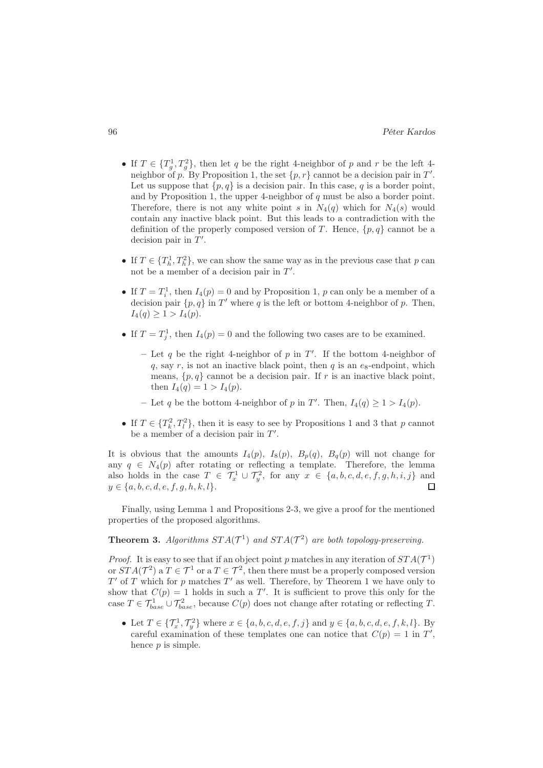- If  $T \in \{T_g^1, T_g^2\}$ , then let q be the right 4-neighbor of p and r be the left 4neighbor of p. By Proposition 1, the set  $\{p, r\}$  cannot be a decision pair in T'. Let us suppose that  $\{p, q\}$  is a decision pair. In this case, q is a border point, and by Proposition 1, the upper 4-neighbor of  $q$  must be also a border point. Therefore, there is not any white point s in  $N_4(q)$  which for  $N_4(s)$  would contain any inactive black point. But this leads to a contradiction with the definition of the properly composed version of T. Hence,  $\{p,q\}$  cannot be a decision pair in  $T'$ .
- If  $T \in \{T_h^1, T_h^2\}$ , we can show the same way as in the previous case that p can not be a member of a decision pair in  $T'$ .
- If  $T = T_i^1$ , then  $I_4(p) = 0$  and by Proposition 1, p can only be a member of a decision pair  $\{p, q\}$  in T' where q is the left or bottom 4-neighbor of p. Then,  $I_4(q) \geq 1 > I_4(p)$ .
- If  $T = T_j^1$ , then  $I_4(p) = 0$  and the following two cases are to be examined.
	- Let q be the right 4-neighbor of p in  $T'$ . If the bottom 4-neighbor of q, say r, is not an inactive black point, then  $q$  is an  $e_8$ -endpoint, which means,  $\{p, q\}$  cannot be a decision pair. If r is an inactive black point, then  $I_4(q) = 1 > I_4(p)$ .
	- Let q be the bottom 4-neighbor of p in T'. Then,  $I_4(q) \geq 1 > I_4(p)$ .
- If  $T \in \{T_k^2, T_l^2\}$ , then it is easy to see by Propositions 1 and 3 that p cannot be a member of a decision pair in  $T'$ .

It is obvious that the amounts  $I_4(p)$ ,  $I_8(p)$ ,  $B_p(q)$ ,  $B_q(p)$  will not change for any  $q \in N_4(p)$  after rotating or reflecting a template. Therefore, the lemma also holds in the case  $T \in \mathcal{T}_x^1 \cup \mathcal{T}_y^2$ , for any  $x \in \{a, b, c, d, e, f, g, h, i, j\}$  and  $y \in \{a, b, c, d, e, f, g, h, k, l\}.$  $\Box$ 

Finally, using Lemma 1 and Propositions 2-3, we give a proof for the mentioned properties of the proposed algorithms.

#### **Theorem 3.** Algorithms  $STA(\mathcal{T}^1)$  and  $STA(\mathcal{T}^2)$  are both topology-preserving.

*Proof.* It is easy to see that if an object point p matches in any iteration of  $STA(\mathcal{T}^1)$ or  $STA(\mathcal{T}^2)$  a  $T \in \mathcal{T}^1$  or a  $T \in \mathcal{T}^2$ , then there must be a properly composed version  $T'$  of  $T$  which for  $p$  matches  $T'$  as well. Therefore, by Theorem 1 we have only to show that  $C(p) = 1$  holds in such a T'. It is sufficient to prove this only for the case  $T \in \mathcal{T}_{base}^1 \cup \mathcal{T}_{base}^2$ , because  $C(p)$  does not change after rotating or reflecting T.

• Let  $T \in \{T_x^1, T_y^2\}$  where  $x \in \{a, b, c, d, e, f, j\}$  and  $y \in \{a, b, c, d, e, f, k, l\}$ . By careful examination of these templates one can notice that  $C(p) = 1$  in T', hence *p* is simple.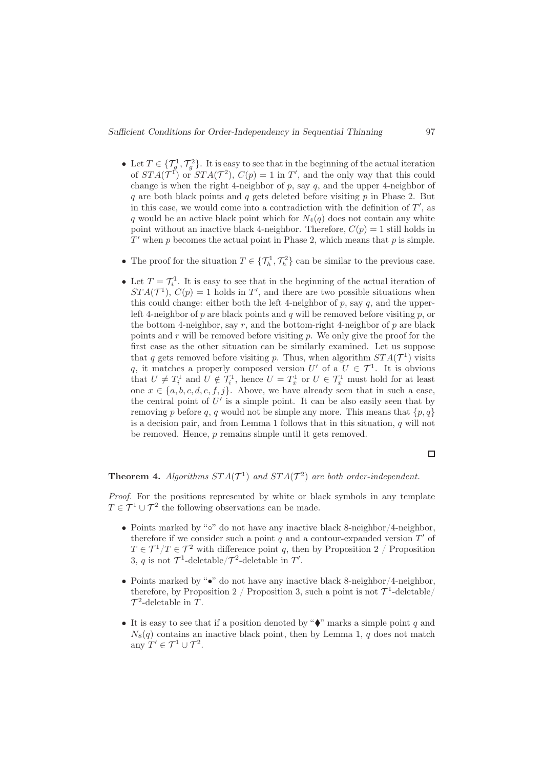- Let  $T \in \{ \mathcal{T}_g^1, \mathcal{T}_g^2 \}$ . It is easy to see that in the beginning of the actual iteration of  $STA(\mathcal{T}^1)$  or  $STA(\mathcal{T}^2)$ ,  $C(p) = 1$  in T', and the only way that this could change is when the right 4-neighbor of  $p$ , say  $q$ , and the upper 4-neighbor of q are both black points and q gets deleted before visiting  $p$  in Phase 2. But in this case, we would come into a contradiction with the definition of  $T'$ , as q would be an active black point which for  $N_4(q)$  does not contain any white point without an inactive black 4-neighbor. Therefore,  $C(p) = 1$  still holds in  $T'$  when p becomes the actual point in Phase 2, which means that p is simple.
- The proof for the situation  $T \in \{ \mathcal{T}_h^1, \mathcal{T}_h^2 \}$  can be similar to the previous case.
- Let  $T = \mathcal{T}_i^1$ . It is easy to see that in the beginning of the actual iteration of  $STA(\mathcal{T}^1), C(p) = 1$  holds in T', and there are two possible situations when this could change: either both the left 4-neighbor of  $p$ , say  $q$ , and the upperleft 4-neighbor of  $p$  are black points and  $q$  will be removed before visiting  $p$ , or the bottom 4-neighbor, say r, and the bottom-right 4-neighbor of  $p$  are black points and  $r$  will be removed before visiting  $p$ . We only give the proof for the first case as the other situation can be similarly examined. Let us suppose that q gets removed before visiting p. Thus, when algorithm  $STA(\mathcal{T}^1)$  visits q, it matches a properly composed version  $U'$  of a  $U \in \mathcal{T}^1$ . It is obvious that  $U \neq T_i^1$  and  $U \notin T_i^1$ , hence  $U = T_x^1$  or  $U \in T_x^1$  must hold for at least one  $x \in \{a, b, c, d, e, f, j\}$ . Above, we have already seen that in such a case, the central point of  $U'$  is a simple point. It can be also easily seen that by removing p before q, q would not be simple any more. This means that  $\{p, q\}$ is a decision pair, and from Lemma 1 follows that in this situation,  $q$  will not be removed. Hence, p remains simple until it gets removed.

#### $\Box$

#### **Theorem 4.** Algorithms  $STA(\mathcal{T}^1)$  and  $STA(\mathcal{T}^2)$  are both order-independent.

Proof. For the positions represented by white or black symbols in any template  $T \in \mathcal{T}^1 \cup \mathcal{T}^2$  the following observations can be made.

- Points marked by "◦" do not have any inactive black 8-neighbor/4-neighbor, therefore if we consider such a point  $q$  and a contour-expanded version  $T'$  of  $T \in \mathcal{T}^1/T \in \mathcal{T}^2$  with difference point q, then by Proposition 2 / Proposition 3, q is not  $\mathcal{T}^1$ -deletable/ $\mathcal{T}^2$ -deletable in T'.
- Points marked by " $\bullet$ " do not have any inactive black 8-neighbor/4-neighbor, therefore, by Proposition 2 / Proposition 3, such a point is not  $\mathcal{T}^1$ -deletable/  $\mathcal{T}^2$ -deletable in T.
- It is easy to see that if a position denoted by " $\bullet$ " marks a simple point q and  $N_8(q)$  contains an inactive black point, then by Lemma 1, q does not match any  $T' \in \mathcal{T}^1 \cup \mathcal{T}^2$ .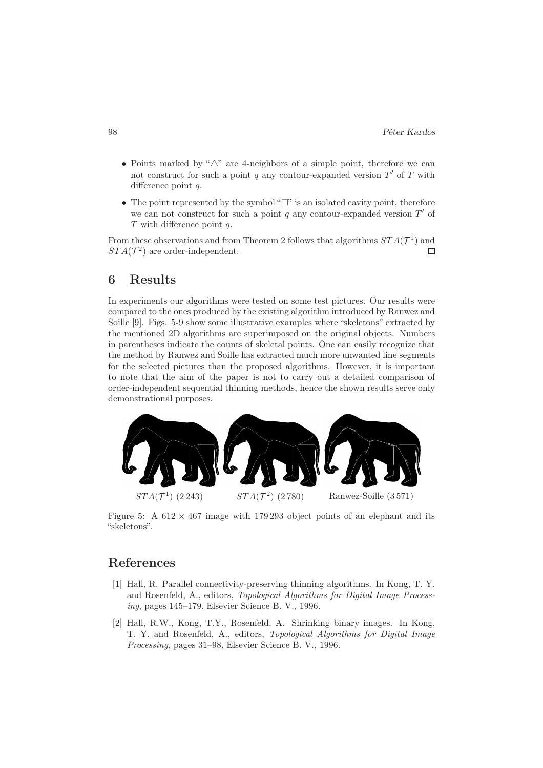- Points marked by "△" are 4-neighbors of a simple point, therefore we can not construct for such a point  $q$  any contour-expanded version  $T'$  of  $T$  with difference point q.
- The point represented by the symbol " $\square$ " is an isolated cavity point, therefore we can not construct for such a point  $q$  any contour-expanded version  $T'$  of T with difference point q.

From these observations and from Theorem 2 follows that algorithms  $STA(\mathcal{T}^1)$  and  $STA(\mathcal{T}^2)$  are order-independent.  $\Box$ 

#### 6 Results

In experiments our algorithms were tested on some test pictures. Our results were compared to the ones produced by the existing algorithm introduced by Ranwez and Soille [9]. Figs. 5-9 show some illustrative examples where "skeletons" extracted by the mentioned 2D algorithms are superimposed on the original objects. Numbers in parentheses indicate the counts of skeletal points. One can easily recognize that the method by Ranwez and Soille has extracted much more unwanted line segments for the selected pictures than the proposed algorithms. However, it is important to note that the aim of the paper is not to carry out a detailed comparison of order-independent sequential thinning methods, hence the shown results serve only demonstrational purposes.



Figure 5: A  $612 \times 467$  image with 179 293 object points of an elephant and its "skeletons".

## References

- [1] Hall, R. Parallel connectivity-preserving thinning algorithms. In Kong, T. Y. and Rosenfeld, A., editors, Topological Algorithms for Digital Image Processing, pages 145–179, Elsevier Science B. V., 1996.
- [2] Hall, R.W., Kong, T.Y., Rosenfeld, A. Shrinking binary images. In Kong, T. Y. and Rosenfeld, A., editors, Topological Algorithms for Digital Image Processing, pages 31–98, Elsevier Science B. V., 1996.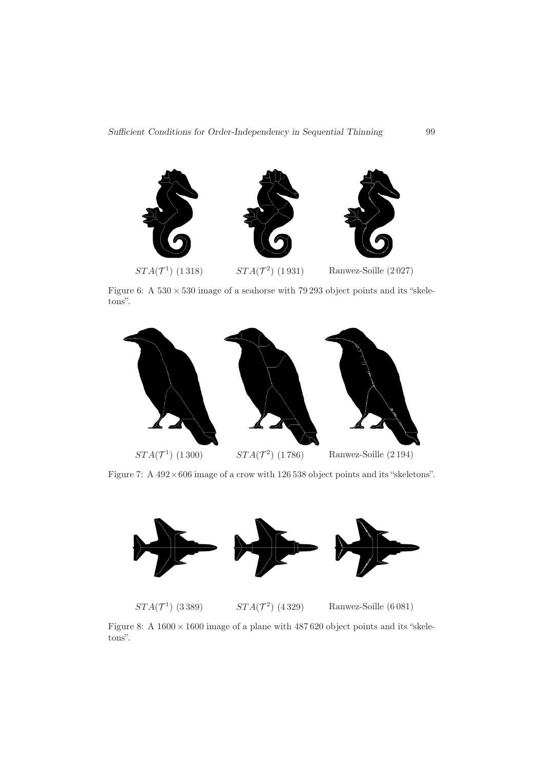

Figure 6: A  $530 \times 530$  image of a seahorse with 79 293 object points and its "skeletons".



Figure 7: A  $492 \times 606$  image of a crow with 126 538 object points and its "skeletons".



 $STA(\mathcal{T}^1)$  (3389)  $STA(\mathcal{T}^1)$ 

 $STA(\mathcal{T}^2)$  (4329)

Ranwez-Soille (6081)

Figure 8: A  $1600 \times 1600$  image of a plane with  $487\,620$  object points and its "skeletons".